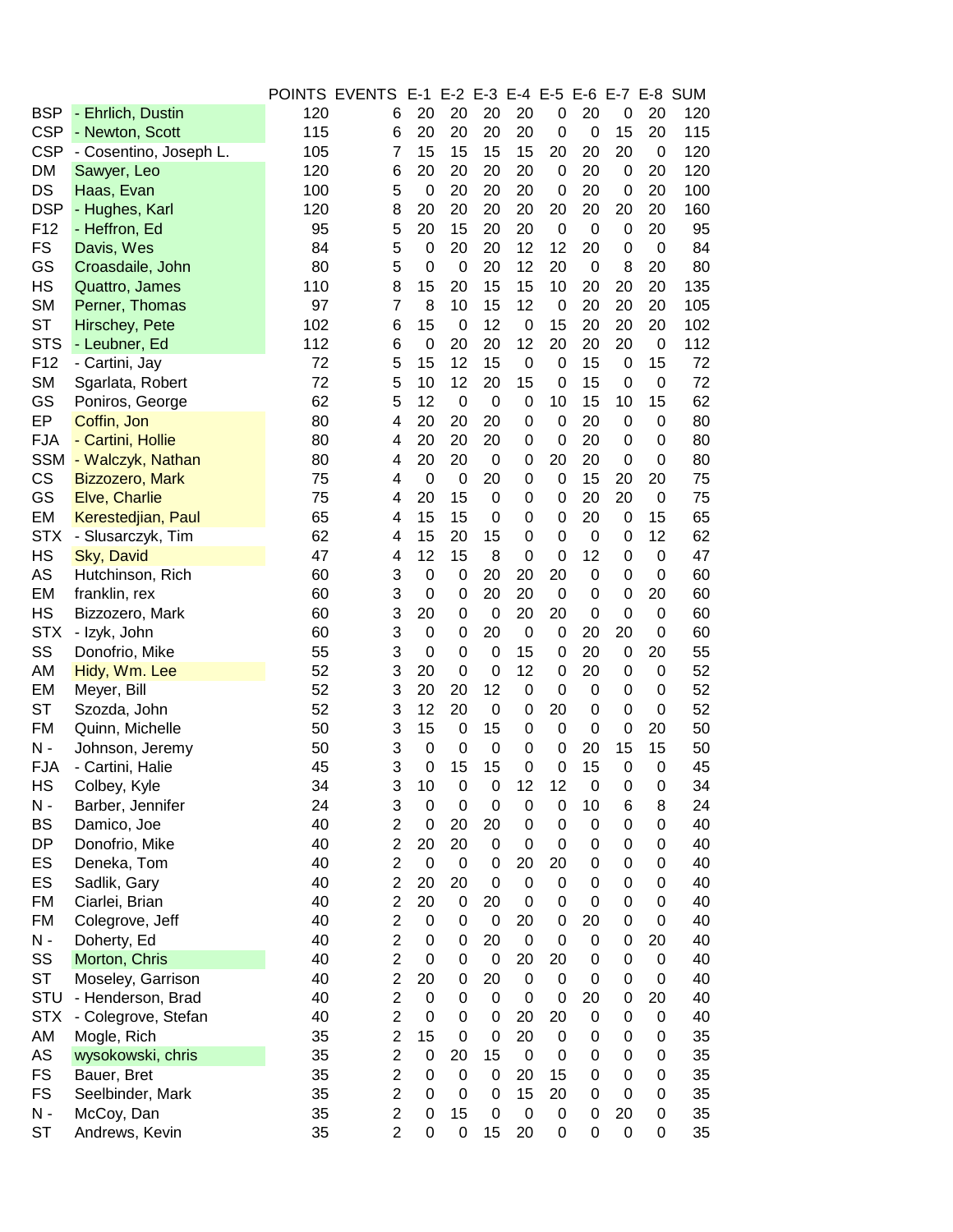|                 |                        |     | POINTS EVENTS E-1 |                  |                  | E-2 E-3 E-4 E-5 |                  |             |                  |             |             | E-6 E-7 E-8 SUM |
|-----------------|------------------------|-----|-------------------|------------------|------------------|-----------------|------------------|-------------|------------------|-------------|-------------|-----------------|
| <b>BSP</b>      | - Ehrlich, Dustin      | 120 | 6                 | 20               | 20               | 20              | 20               | 0           | 20               | 0           | 20          | 120             |
| <b>CSP</b>      | - Newton, Scott        | 115 | 6                 | 20               | 20               | 20              | 20               | $\mathbf 0$ | $\mathbf 0$      | 15          | 20          | 115             |
| <b>CSP</b>      | - Cosentino, Joseph L. | 105 | $\overline{7}$    | 15               | 15               | 15              | 15               | 20          | 20               | 20          | 0           | 120             |
| <b>DM</b>       | Sawyer, Leo            | 120 | 6                 | 20               | 20               | 20              | 20               | $\mathbf 0$ | 20               | 0           | 20          | 120             |
| DS              | Haas, Evan             | 100 | 5                 | $\pmb{0}$        | 20               | 20              | 20               | $\mathbf 0$ | 20               | 0           | 20          | 100             |
| <b>DSP</b>      | - Hughes, Karl         | 120 | 8                 | 20               | 20               | 20              | 20               | 20          | 20               | 20          | 20          | 160             |
| F <sub>12</sub> | - Heffron, Ed          | 95  | 5                 | 20               | 15               | 20              | 20               | $\mathbf 0$ | 0                | 0           | 20          | 95              |
| <b>FS</b>       | Davis, Wes             | 84  | 5                 | 0                | 20               | 20              | 12               | 12          | 20               | 0           | 0           | 84              |
| GS              | Croasdaile, John       | 80  | 5                 | $\boldsymbol{0}$ | $\mathbf 0$      | 20              | 12               | 20          | 0                | 8           | 20          | 80              |
| HS              | Quattro, James         | 110 | 8                 | 15               | 20               | 15              | 15               | 10          | 20               | 20          | 20          | 135             |
| <b>SM</b>       | Perner, Thomas         | 97  | $\overline{7}$    | 8                | 10               | 15              | 12               | $\mathbf 0$ | 20               | 20          | 20          | 105             |
| <b>ST</b>       | Hirschey, Pete         | 102 | 6                 | 15               | $\mathbf 0$      | 12              | 0                | 15          | 20               | 20          | 20          | 102             |
| <b>STS</b>      | - Leubner, Ed          | 112 | 6                 | $\boldsymbol{0}$ | 20               | 20              | 12               | 20          | 20               | 20          | $\mathbf 0$ | 112             |
| F12             | - Cartini, Jay         | 72  | 5                 | 15               | 12               | 15              | $\boldsymbol{0}$ | 0           | 15               | 0           | 15          | 72              |
| <b>SM</b>       | Sgarlata, Robert       | 72  | 5                 | 10               | 12               | 20              | 15               | $\mathbf 0$ | 15               | 0           | $\mathbf 0$ | 72              |
| GS              | Poniros, George        | 62  | 5                 | 12               | $\mathbf 0$      | $\mathbf 0$     | $\boldsymbol{0}$ | 10          | 15               | 10          | 15          | 62              |
| EP              | Coffin, Jon            | 80  | 4                 | 20               | 20               | 20              | $\boldsymbol{0}$ | $\mathbf 0$ | 20               | 0           | $\mathbf 0$ | 80              |
| <b>FJA</b>      | - Cartini, Hollie      | 80  | 4                 | 20               | 20               | 20              | 0                | $\mathbf 0$ | 20               | 0           | 0           | 80              |
| <b>SSM</b>      | - Walczyk, Nathan      | 80  | 4                 | 20               | 20               | 0               | 0                | 20          | 20               | 0           | 0           | 80              |
| CS              | Bizzozero, Mark        | 75  | 4                 | $\boldsymbol{0}$ | $\mathbf 0$      | 20              | $\pmb{0}$        | $\mathbf 0$ | 15               | 20          | 20          | 75              |
| GS              | Elve, Charlie          | 75  | 4                 | 20               | 15               | 0               | $\pmb{0}$        | 0           | 20               | 20          | $\mathbf 0$ | 75              |
| EM              | Kerestedjian, Paul     | 65  | 4                 | 15               | 15               | 0               | 0                | $\mathbf 0$ | 20               | 0           | 15          | 65              |
| <b>STX</b>      | - Slusarczyk, Tim      | 62  | 4                 | 15               | 20               | 15              | 0                | $\mathbf 0$ | 0                | 0           | 12          | 62              |
| HS              | Sky, David             | 47  | 4                 | 12               | 15               | 8               | $\boldsymbol{0}$ | $\mathbf 0$ | 12               | 0           | 0           | 47              |
| AS              | Hutchinson, Rich       | 60  | 3                 | 0                | 0                | 20              | 20               | 20          | 0                | 0           | 0           | 60              |
| EM              | franklin, rex          | 60  | 3                 | 0                | 0                | 20              | 20               | $\mathbf 0$ | 0                | 0           | 20          | 60              |
| HS              | Bizzozero, Mark        | 60  | 3                 | 20               | 0                | $\mathbf 0$     | 20               | 20          | $\mathbf 0$      | 0           | 0           | 60              |
| <b>STX</b>      | - Izyk, John           | 60  | 3                 | $\pmb{0}$        | 0                | 20              | $\boldsymbol{0}$ | 0           | 20               | 20          | 0           | 60              |
| SS              | Donofrio, Mike         | 55  | 3                 | $\boldsymbol{0}$ | 0                | 0               | 15               | 0           | 20               | 0           | 20          | 55              |
| AM              | Hidy, Wm. Lee          | 52  | 3                 | 20               | 0                | $\mathbf 0$     | 12               | $\mathbf 0$ | 20               | 0           | 0           | 52              |
| EM              | Meyer, Bill            | 52  | 3                 | 20               | 20               | 12              | $\boldsymbol{0}$ | $\mathbf 0$ | 0                | 0           | 0           | 52              |
| <b>ST</b>       | Szozda, John           | 52  | 3                 | 12               | 20               | 0               | 0                | 20          | 0                | $\Omega$    | 0           | 52              |
| <b>FM</b>       | Quinn, Michelle        | 50  | 3                 | 15               | 0                | 15              | $\boldsymbol{0}$ | $\mathbf 0$ | $\mathbf 0$      | 0           | 20          | 50              |
| $N -$           | Johnson, Jeremy        | 50  | 3                 | $\boldsymbol{0}$ | 0                | $\mathbf 0$     | 0                | $\mathbf 0$ | 20               | 15          | 15          | 50              |
| <b>FJA</b>      |                        | 45  | 3                 | $\boldsymbol{0}$ | 15               | 15              | $\boldsymbol{0}$ | $\mathbf 0$ | 15               | $\mathbf 0$ | 0           | 45              |
|                 | - Cartini, Halie       |     |                   |                  | $\pmb{0}$        |                 | 12               | 12          |                  |             |             | 34              |
| HS              | Colbey, Kyle           | 34  | 3                 | $10$             |                  | $\pmb{0}$       |                  |             | $\pmb{0}$        | 0           | 0           |                 |
| N -             | Barber, Jennifer       | 24  | 3                 | $\pmb{0}$        | $\boldsymbol{0}$ | 0               | $\boldsymbol{0}$ | $\mathbf 0$ | 10               | 6           | 8           | 24              |
| <b>BS</b>       | Damico, Joe            | 40  | $\overline{c}$    | $\pmb{0}$        | 20               | 20              | 0                | $\mathbf 0$ | 0                | 0           | 0           | 40              |
| DP              | Donofrio, Mike         | 40  | $\overline{2}$    | 20               | 20               | 0               | 0                | $\mathbf 0$ | 0                | 0           | 0           | 40              |
| ES              | Deneka, Tom            | 40  | $\overline{c}$    | $\boldsymbol{0}$ | 0                | 0               | 20               | 20          | 0                | 0           | 0           | 40              |
| ES              | Sadlik, Gary           | 40  | $\overline{2}$    | 20               | 20               | 0               | 0                | 0           | 0                | 0           | 0           | 40              |
| FM              | Ciarlei, Brian         | 40  | $\overline{c}$    | 20               | 0                | 20              | $\boldsymbol{0}$ | $\mathbf 0$ | 0                | 0           | 0           | 40              |
| <b>FM</b>       | Colegrove, Jeff        | 40  | $\overline{2}$    | 0                | 0                | 0               | 20               | 0           | 20               | 0           | 0           | 40              |
| $N -$           | Doherty, Ed            | 40  | $\overline{2}$    | 0                | 0                | 20              | $\pmb{0}$        | $\mathbf 0$ | 0                | 0           | 20          | 40              |
| SS              | Morton, Chris          | 40  | $\overline{2}$    | 0                | 0                | 0               | 20               | 20          | 0                | 0           | $\mathbf 0$ | 40              |
| <b>ST</b>       | Moseley, Garrison      | 40  | $\overline{c}$    | 20               | 0                | 20              | $\mathbf 0$      | $\mathbf 0$ | 0                | 0           | 0           | 40              |
| <b>STU</b>      | - Henderson, Brad      | 40  | $\overline{c}$    | 0                | 0                | 0               | $\mathbf 0$      | $\mathbf 0$ | 20               | 0           | 20          | 40              |
| <b>STX</b>      | - Colegrove, Stefan    | 40  | $\overline{c}$    | $\boldsymbol{0}$ | 0                | 0               | 20               | 20          | $\boldsymbol{0}$ | 0           | 0           | 40              |
| AM              | Mogle, Rich            | 35  | $\overline{2}$    | 15               | 0                | 0               | 20               | $\mathbf 0$ | 0                | 0           | 0           | 35              |
| AS              | wysokowski, chris      | 35  | $\overline{c}$    | 0                | 20               | 15              | $\mathbf 0$      | $\mathbf 0$ | 0                | 0           | 0           | 35              |
| <b>FS</b>       | Bauer, Bret            | 35  | $\overline{2}$    | $\pmb{0}$        | $\boldsymbol{0}$ | 0               | 20               | 15          | 0                | 0           | 0           | 35              |
| <b>FS</b>       | Seelbinder, Mark       | 35  | $\overline{c}$    | 0                | 0                | 0               | 15               | 20          | 0                | 0           | 0           | 35              |
| $N -$           | McCoy, Dan             | 35  | $\overline{2}$    | 0                | 15               | 0               | $\boldsymbol{0}$ | $\pmb{0}$   | 0                | 20          | 0           | 35              |
| <b>ST</b>       | Andrews, Kevin         | 35  | $\overline{c}$    | 0                | 0                | 15              | 20               | $\pmb{0}$   | 0                | 0           | 0           | 35              |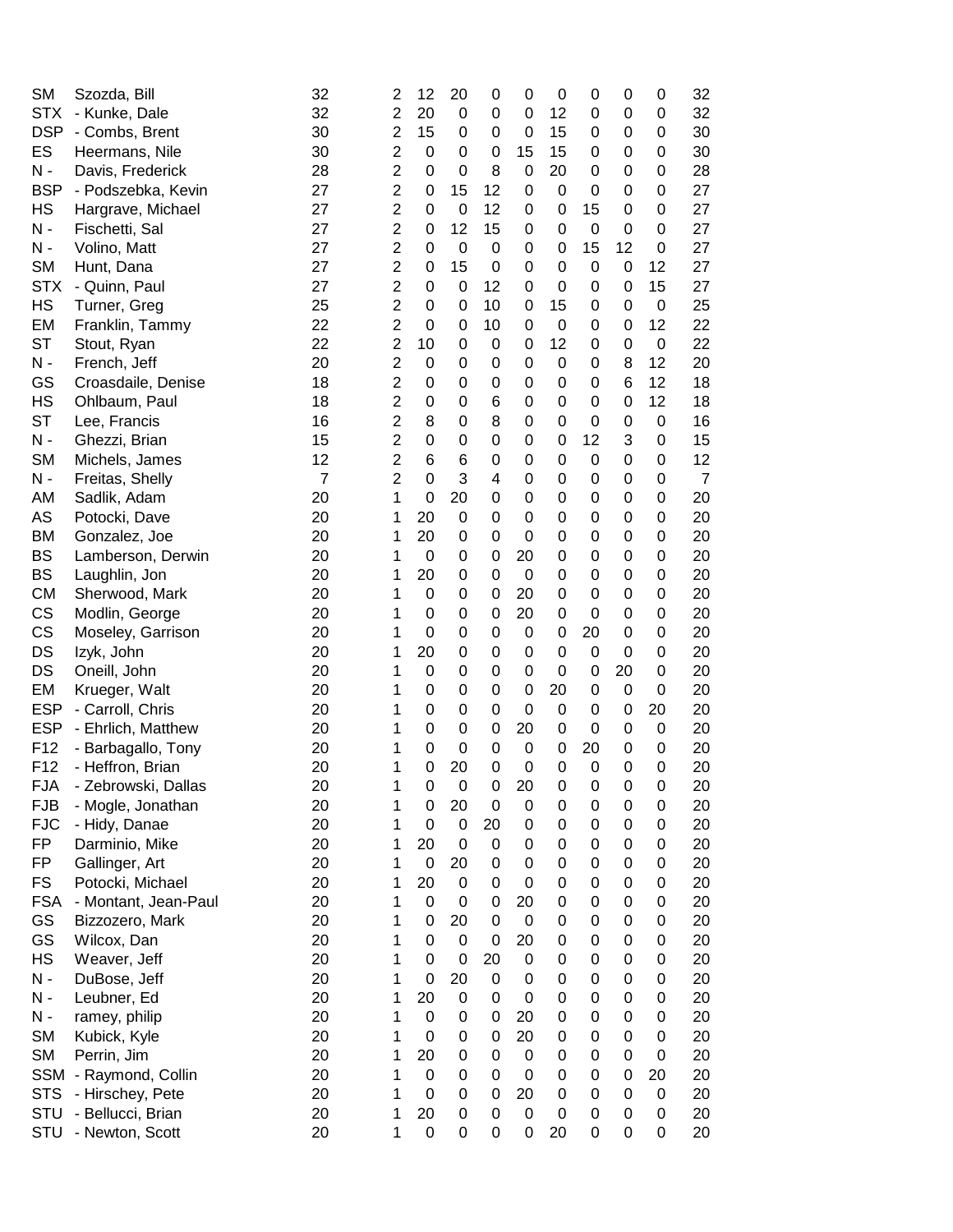| <b>SM</b>             | Szozda, Bill               | 32             | 2              | 12               | 20          | 0                | 0                | $\mathbf 0$      | 0                | 0         | 0       | 32             |
|-----------------------|----------------------------|----------------|----------------|------------------|-------------|------------------|------------------|------------------|------------------|-----------|---------|----------------|
| <b>STX</b>            | - Kunke, Dale              | 32             | $\overline{c}$ | 20               | 0           | 0                | 0                | 12               | 0                | 0         | 0       | 32             |
| <b>DSP</b>            | - Combs, Brent             | 30             | $\overline{2}$ | 15               | 0           | 0                | 0                | 15               | 0                | 0         | 0       | 30             |
| ES                    | Heermans, Nile             | 30             | $\overline{2}$ | 0                | 0           | 0                | 15               | 15               | 0                | 0         | 0       | 30             |
| $N -$                 | Davis, Frederick           | 28             | $\overline{2}$ | 0                | 0           | 8                | 0                | 20               | 0                | 0         | 0       | 28             |
| <b>BSP</b>            | - Podszebka, Kevin         | 27             | $\overline{2}$ | 0                | 15          | 12               | 0                | $\pmb{0}$        | 0                | 0         | 0       | 27             |
| HS                    | Hargrave, Michael          | 27             | $\overline{2}$ | 0                | 0           | 12               | 0                | $\mathbf 0$      | 15               | 0         | 0       | 27             |
| N -                   | Fischetti, Sal             | 27             | $\overline{2}$ | 0                | 12          | 15               | 0                | $\mathbf 0$      | 0                | 0         | 0       | 27             |
| N -                   | Volino, Matt               | 27             | $\overline{c}$ | 0                | 0           | 0                | 0                | $\pmb{0}$        | 15               | 12        | 0       | 27             |
| <b>SM</b>             | Hunt, Dana                 | 27             | $\overline{2}$ | 0                | 15          | $\mathbf 0$      | 0                | $\mathbf 0$      | 0                | 0         | 12      | 27             |
| <b>STX</b>            | - Quinn, Paul              | 27             | $\overline{2}$ | 0                | 0           | 12               | 0                | 0                | 0                | 0         | 15      | 27             |
| <b>HS</b>             | Turner, Greg               | 25             | $\overline{2}$ | 0                | 0           | 10               | 0                | 15               | 0                | 0         | 0       | 25             |
| EM                    | Franklin, Tammy            | 22             | $\overline{2}$ | 0                | 0           | 10               | 0                | $\mathbf 0$      | 0                | 0         | 12      | 22             |
| ST                    | Stout, Ryan                | 22             | $\overline{2}$ | 10               | 0           | 0                | 0                | 12               | 0                | 0         | 0       | 22             |
| $N -$                 | French, Jeff               | 20             | $\overline{c}$ | 0                | 0           | 0                | 0                | $\pmb{0}$        | 0                | 8         | 12      | 20             |
| GS                    | Croasdaile, Denise         | 18             | $\overline{2}$ | 0                | 0           | 0                | 0                | $\pmb{0}$        | 0                | 6         | 12      | 18             |
| HS                    | Ohlbaum, Paul              | 18             | $\overline{c}$ | 0                | 0           | 6                | 0                | $\boldsymbol{0}$ | 0                | 0         | 12      | 18             |
| ST                    | Lee, Francis               | 16             | $\overline{2}$ | 8                | 0           | 8                | 0                | $\mathbf 0$      | 0                | 0         | 0       | 16             |
| N -                   | Ghezzi, Brian              | 15             | $\overline{c}$ | 0                | 0           | 0                | 0                | $\mathbf 0$      | 12               | 3         | 0       | 15             |
| <b>SM</b>             | Michels, James             | 12             | $\overline{2}$ | 6                | 6           | 0                | 0                | $\mathbf 0$      | 0                | 0         | 0       | 12             |
| $N -$                 | Freitas, Shelly            | $\overline{7}$ | $\overline{2}$ | 0                | 3           | 4                | 0                | $\mathbf 0$      | 0                | 0         | 0       | $\overline{7}$ |
| AM                    | Sadlik, Adam               | 20             | 1              | 0                | 20          | 0                | 0                | $\mathbf 0$      | 0                | 0         | 0       | 20             |
| AS                    | Potocki, Dave              | 20             | 1              | 20               | 0           | 0                | 0                | $\mathbf 0$      | 0                | 0         | 0       | 20             |
| <b>BM</b>             | Gonzalez, Joe              | 20             | 1              | 20               | 0           | 0                | 0                | $\mathbf 0$      | 0                | 0         | 0       | 20             |
| BS                    | Lamberson, Derwin          | 20             | 1              | $\mathbf 0$      | 0           | 0                | 20               | $\mathbf 0$      | 0                | 0         | 0       | 20             |
| <b>BS</b>             | Laughlin, Jon              | 20             | 1              | 20               | 0           | $\mathbf 0$      | $\mathbf 0$      | $\mathbf 0$      | 0                | 0         | 0       | 20             |
| <b>CM</b>             | Sherwood, Mark             | 20             | 1              | 0                | 0           | 0                | 20               | $\mathbf 0$      | 0                | 0         | 0       | 20             |
| CS                    | Modlin, George             | 20             | 1              | 0                | 0           | $\mathbf 0$      | 20               | $\mathbf 0$      | 0                | 0         |         | 20             |
| CS                    |                            | 20             | 1              | 0                | 0           | $\boldsymbol{0}$ | 0                | $\mathbf 0$      | 20               | 0         | 0<br>0  | 20             |
| DS                    | Moseley, Garrison          | 20             | 1              | 20               | 0           | 0                | 0                | $\mathbf 0$      | $\boldsymbol{0}$ | 0         | 0       | 20             |
| DS                    | Izyk, John<br>Oneill, John | 20             | 1              | 0                | 0           | 0                | 0                | 0                | $\mathbf 0$      | 20        | 0       | 20             |
| EM                    |                            | 20             | 1              | 0                | 0           | 0                | 0                |                  | $\boldsymbol{0}$ | $\pmb{0}$ |         | 20             |
| <b>ESP</b>            | Krueger, Walt              | 20             | 1              | 0                | 0           | 0                | $\boldsymbol{0}$ | 20<br>$\pmb{0}$  | 0                | 0         | 0<br>20 | 20             |
| <b>ESP</b>            | - Carroll, Chris           | 20             | 1              | 0                | 0           | 0                | 20               | $\pmb{0}$        | 0                | 0         | 0       | 20             |
| F12                   | - Ehrlich, Matthew         | 20             |                | 0                | 0           | 0                | $\mathbf 0$      | $\mathbf 0$      | 20               | 0         |         | 20             |
|                       | - Barbagallo, Tony         |                | 1              |                  |             |                  |                  |                  |                  |           | 0       |                |
| F <sub>12</sub>       | - Heffron, Brian           | 20             | 1              | 0                | 20          | 0                | $\mathbf 0$      | $\mathbf 0$      | 0                | 0         | 0       | 20             |
| <b>FJA</b>            | - Zebrowski, Dallas        | 20             | 1              | 0                | 0           | 0                | 20               | 0                | 0                | 0         | 0       | 20             |
| <b>FJB</b>            | - Mogle, Jonathan          | 20             | 1              | 0                | 20          | $\mathbf 0$      | 0                | $\boldsymbol{0}$ | 0                | 0         | 0       | 20             |
| <b>FJC</b>            | - Hidy, Danae              | 20             | 1              | $\boldsymbol{0}$ | 0           | 20               | $\mathbf 0$      | $\mathbf 0$      | 0                | 0         | 0       | 20             |
| FP                    | Darminio, Mike             | 20             | 1              | 20               | 0           | 0                | 0                | $\pmb{0}$        | 0                | 0         | 0       | 20             |
| FP                    | Gallinger, Art             | 20             | 1              | 0                | 20          | 0                | 0                | 0                | 0                | 0         | 0       | 20             |
| <b>FS</b>             | Potocki, Michael           | 20             | 1              | 20               | 0           | 0                | 0                | $\pmb{0}$        | 0                | 0         | 0       | 20             |
| <b>FSA</b>            | - Montant, Jean-Paul       | 20             | 1              | 0                | 0           | 0                | 20               | $\boldsymbol{0}$ | 0                | 0         | 0       | 20             |
| GS                    | Bizzozero, Mark            | 20             | 1              | 0                | 20          | $\mathbf 0$      | $\mathbf 0$      | $\mathbf 0$      | 0                | 0         | 0       | 20             |
| GS                    | Wilcox, Dan                | 20             | 1              | 0                | $\mathbf 0$ | $\mathbf 0$      | 20               | $\mathbf 0$      | 0                | 0         | 0       | 20             |
| <b>HS</b>             | Weaver, Jeff               | 20             | 1              | 0                | 0           | 20               | $\boldsymbol{0}$ | $\boldsymbol{0}$ | 0                | 0         | 0       | 20             |
| N -                   | DuBose, Jeff               | 20             | 1              | $\boldsymbol{0}$ | 20          | $\pmb{0}$        | 0                | $\pmb{0}$        | 0                | 0         | 0       | 20             |
| $\mathsf{N}\xspace$ - | Leubner, Ed                | 20             | 1              | 20               | 0           | 0                | $\boldsymbol{0}$ | $\pmb{0}$        | 0                | 0         | 0       | 20             |
| $N -$                 | ramey, philip              | 20             | 1              | 0                | 0           | 0                | 20               | 0                | 0                | 0         | 0       | 20             |
| <b>SM</b>             | Kubick, Kyle               | 20             | 1              | 0                | 0           | 0                | 20               | $\pmb{0}$        | 0                | 0         | 0       | 20             |
| <b>SM</b>             | Perrin, Jim                | 20             | 1              | 20               | 0           | 0                | $\mathbf 0$      | $\pmb{0}$        | 0                | 0         | 0       | 20             |
| <b>SSM</b>            | - Raymond, Collin          | 20             | 1              | 0                | 0           | 0                | $\mathbf 0$      | $\pmb{0}$        | 0                | 0         | 20      | 20             |
| <b>STS</b>            | - Hirschey, Pete           | 20             | 1              | 0                | 0           | 0                | 20               | $\pmb{0}$        | 0                | 0         | 0       | 20             |
| <b>STU</b>            | - Bellucci, Brian          | 20             | 1              | 20               | 0           | $\mathbf 0$      | 0                | $\pmb{0}$        | 0                | 0         | 0       | 20             |
| <b>STU</b>            | - Newton, Scott            | 20             | 1              | 0                | 0           | 0                | 0                | 20               | 0                | 0         | 0       | 20             |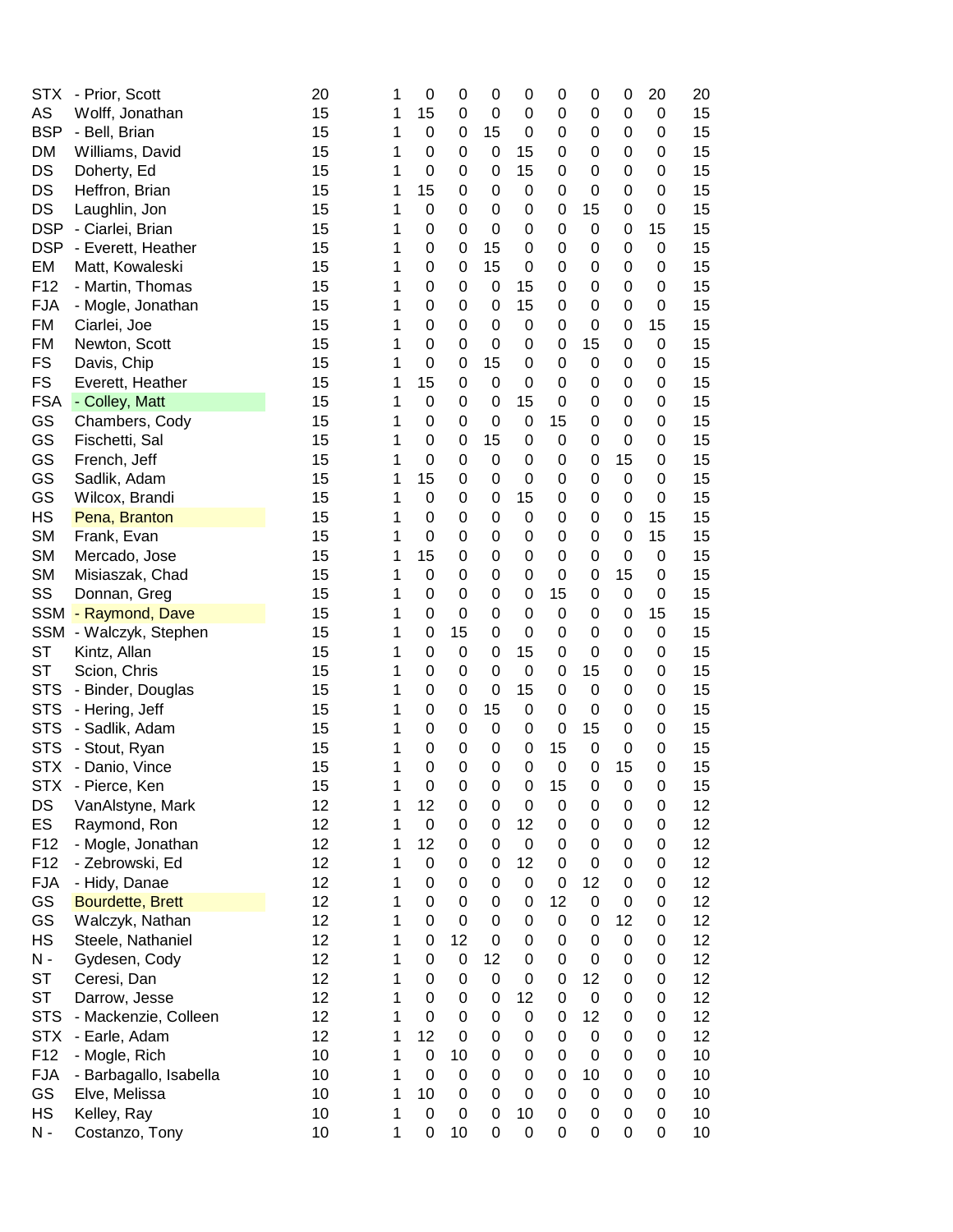| <b>STX</b>      | - Prior, Scott         | 20 | 1 | 0                | 0  | 0                | 0                | $\mathbf 0$      | 0                | 0  | 20          | 20 |
|-----------------|------------------------|----|---|------------------|----|------------------|------------------|------------------|------------------|----|-------------|----|
| AS              | Wolff, Jonathan        | 15 | 1 | 15               | 0  | 0                | 0                | $\mathbf 0$      | 0                | 0  | 0           | 15 |
| <b>BSP</b>      | - Bell, Brian          | 15 | 1 | 0                | 0  | 15               | 0                | $\pmb{0}$        | 0                | 0  | 0           | 15 |
| DM              | Williams, David        | 15 | 1 | 0                | 0  | 0                | 15               | $\pmb{0}$        | 0                | 0  | 0           | 15 |
| DS              | Doherty, Ed            | 15 | 1 | 0                | 0  | 0                | 15               | $\pmb{0}$        | 0                | 0  | 0           | 15 |
| DS              | Heffron, Brian         | 15 | 1 | 15               | 0  | 0                | 0                | $\pmb{0}$        | 0                | 0  | 0           | 15 |
| DS              |                        | 15 | 1 | 0                | 0  | 0                | 0                | $\pmb{0}$        | 15               | 0  |             | 15 |
| <b>DSP</b>      | Laughlin, Jon          |    |   |                  |    |                  |                  |                  |                  |    | 0           |    |
|                 | - Ciarlei, Brian       | 15 | 1 | 0                | 0  | 0                | 0                | $\pmb{0}$        | 0                | 0  | 15          | 15 |
| <b>DSP</b>      | - Everett, Heather     | 15 | 1 | 0                | 0  | 15               | 0                | $\pmb{0}$        | 0                | 0  | 0           | 15 |
| EM              | Matt, Kowaleski        | 15 | 1 | 0                | 0  | 15               | 0                | $\mathbf 0$      | 0                | 0  | 0           | 15 |
| F12             | - Martin, Thomas       | 15 | 1 | 0                | 0  | $\mathbf 0$      | 15               | $\mathbf 0$      | 0                | 0  | 0           | 15 |
| <b>FJA</b>      | - Mogle, Jonathan      | 15 | 1 | 0                | 0  | 0                | 15               | $\mathbf 0$      | 0                | 0  | $\mathbf 0$ | 15 |
| FM              | Ciarlei, Joe           | 15 | 1 | 0                | 0  | $\boldsymbol{0}$ | 0                | $\pmb{0}$        | 0                | 0  | 15          | 15 |
| FM              | Newton, Scott          | 15 | 1 | 0                | 0  | 0                | 0                | $\pmb{0}$        | 15               | 0  | 0           | 15 |
| <b>FS</b>       | Davis, Chip            | 15 | 1 | 0                | 0  | 15               | 0                | $\boldsymbol{0}$ | $\boldsymbol{0}$ | 0  | 0           | 15 |
| <b>FS</b>       | Everett, Heather       | 15 | 1 | 15               | 0  | 0                | $\boldsymbol{0}$ | 0                | 0                | 0  | 0           | 15 |
| <b>FSA</b>      | - Colley, Matt         | 15 | 1 | $\boldsymbol{0}$ | 0  | 0                | 15               | $\pmb{0}$        | 0                | 0  | 0           | 15 |
| GS              | Chambers, Cody         | 15 | 1 | 0                | 0  | 0                | $\mathbf 0$      | 15               | 0                | 0  | 0           | 15 |
| GS              | Fischetti, Sal         | 15 | 1 | 0                | 0  | 15               | 0                | $\boldsymbol{0}$ | 0                | 0  | 0           | 15 |
| GS              | French, Jeff           | 15 | 1 | 0                | 0  | 0                | 0                | $\pmb{0}$        | 0                | 15 | 0           | 15 |
| GS              | Sadlik, Adam           | 15 | 1 | 15               | 0  | 0                | 0                | $\mathbf 0$      | 0                | 0  | 0           | 15 |
| GS              | Wilcox, Brandi         | 15 | 1 | 0                | 0  | 0                | 15               | $\pmb{0}$        | 0                | 0  | 0           | 15 |
| HS              |                        | 15 | 1 | 0                | 0  | 0                | 0                | $\pmb{0}$        | 0                | 0  | 15          | 15 |
|                 | Pena, Branton          |    |   |                  |    |                  |                  |                  |                  |    |             |    |
| <b>SM</b>       | Frank, Evan            | 15 | 1 | 0                | 0  | 0                | 0                | $\pmb{0}$        | 0                | 0  | 15          | 15 |
| <b>SM</b>       | Mercado, Jose          | 15 | 1 | 15               | 0  | 0                | 0                | $\pmb{0}$        | 0                | 0  | 0           | 15 |
| <b>SM</b>       | Misiaszak, Chad        | 15 | 1 | 0                | 0  | 0                | 0                | $\mathbf 0$      | 0                | 15 | 0           | 15 |
| SS              | Donnan, Greg           | 15 | 1 | 0                | 0  | 0                | 0                | 15               | 0                | 0  | 0           | 15 |
| <b>SSM</b>      | - Raymond, Dave        | 15 | 1 | 0                | 0  | 0                | $\mathbf 0$      | $\pmb{0}$        | 0                | 0  | 15          | 15 |
| <b>SSM</b>      | - Walczyk, Stephen     | 15 | 1 | 0                | 15 | 0                | $\mathbf 0$      | $\boldsymbol{0}$ | 0                | 0  | 0           | 15 |
| <b>ST</b>       | Kintz, Allan           | 15 | 1 | $\boldsymbol{0}$ | 0  | 0                | 15               | $\boldsymbol{0}$ | 0                | 0  | 0           | 15 |
| <b>ST</b>       | Scion, Chris           | 15 | 1 | 0                | 0  | $\boldsymbol{0}$ | $\boldsymbol{0}$ | 0                | 15               | 0  | 0           | 15 |
| <b>STS</b>      | - Binder, Douglas      | 15 | 1 | 0                | 0  | 0                | 15               | $\pmb{0}$        | $\mathbf 0$      | 0  | 0           | 15 |
| <b>STS</b>      | - Hering, Jeff         | 15 | 1 | 0                | 0  | 15               | $\boldsymbol{0}$ | $\pmb{0}$        | 0                | 0  | 0           | 15 |
| <b>STS</b>      | - Sadlik, Adam         | 15 | 1 | 0                | 0  | 0                | 0                | $\pmb{0}$        | 15               | 0  | 0           | 15 |
| <b>STS</b>      | - Stout, Ryan          | 15 | 1 | 0                | 0  | 0                | 0                | 15               | 0                | 0  | 0           | 15 |
| <b>STX</b>      | - Danio, Vince         | 15 | 1 | 0                | 0  | 0                | $\mathbf 0$      | $\boldsymbol{0}$ | 0                | 15 | 0           | 15 |
| <b>STX</b>      | - Pierce, Ken          | 15 | 1 | 0                | 0  | 0                | 0                | 15               | 0                | 0  | 0           | 15 |
| DS              | VanAlstyne, Mark       | 12 | 1 | 12               | 0  | 0                | 0                | $\mathbf 0$      | 0                | 0  | 0           | 12 |
| <b>ES</b>       | Raymond, Ron           | 12 | 1 | $\boldsymbol{0}$ | 0  | 0                | 12               | $\boldsymbol{0}$ | 0                | 0  | 0           | 12 |
| F12             | - Mogle, Jonathan      | 12 | 1 | 12               | 0  | 0                | 0                | $\pmb{0}$        | 0                | 0  | 0           | 12 |
|                 |                        | 12 |   |                  |    |                  |                  |                  |                  |    |             |    |
| F <sub>12</sub> | - Zebrowski, Ed        |    | 1 | 0                | 0  | 0                | 12               | 0                | 0                | 0  | 0           | 12 |
| <b>FJA</b>      | - Hidy, Danae          | 12 | 1 | 0                | 0  | 0                | 0                | 0                | 12               | 0  | 0           | 12 |
| GS              | Bourdette, Brett       | 12 | 1 | 0                | 0  | 0                | 0                | 12               | $\boldsymbol{0}$ | 0  | 0           | 12 |
| GS              | Walczyk, Nathan        | 12 | 1 | 0                | 0  | 0                | $\boldsymbol{0}$ | $\mathbf 0$      | 0                | 12 | 0           | 12 |
| <b>HS</b>       | Steele, Nathaniel      | 12 | 1 | 0                | 12 | 0                | 0                | 0                | 0                | 0  | 0           | 12 |
| N -             | Gydesen, Cody          | 12 | 1 | 0                | 0  | 12               | 0                | 0                | 0                | 0  | 0           | 12 |
| <b>ST</b>       | Ceresi, Dan            | 12 | 1 | 0                | 0  | 0                | $\boldsymbol{0}$ | 0                | 12               | 0  | 0           | 12 |
| <b>ST</b>       | Darrow, Jesse          | 12 | 1 | 0                | 0  | 0                | 12               | 0                | $\boldsymbol{0}$ | 0  | 0           | 12 |
| <b>STS</b>      | - Mackenzie, Colleen   | 12 | 1 | 0                | 0  | 0                | $\boldsymbol{0}$ | 0                | 12               | 0  | 0           | 12 |
| <b>STX</b>      | - Earle, Adam          | 12 | 1 | 12               | 0  | 0                | 0                | $\pmb{0}$        | 0                | 0  | 0           | 12 |
| F <sub>12</sub> | - Mogle, Rich          | 10 | 1 | 0                | 10 | 0                | 0                | 0                | 0                | 0  | 0           | 10 |
| <b>FJA</b>      | - Barbagallo, Isabella | 10 | 1 | 0                | 0  | 0                | 0                | 0                | 10               | 0  | 0           | 10 |
| GS              | Elve, Melissa          | 10 | 1 | 10               | 0  | 0                | 0                | 0                | 0                | 0  | 0           | 10 |
| HS              | Kelley, Ray            | 10 | 1 | 0                | 0  | 0                | 10               | 0                | 0                | 0  | 0           | 10 |
| N -             | Costanzo, Tony         | 10 | 1 | 0                | 10 | 0                | 0                | 0                | 0                | 0  | 0           | 10 |
|                 |                        |    |   |                  |    |                  |                  |                  |                  |    |             |    |